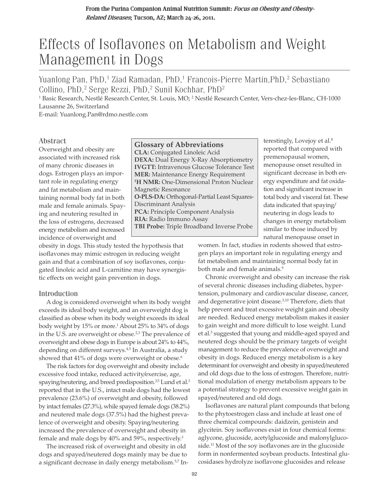# Effects of Isoflavones on Metabolism and Weight Management in Dogs

Yuanlong Pan, PhD,<sup>1</sup> Ziad Ramadan, PhD,<sup>1</sup> Francois-Pierre Martin, PhD,<sup>2</sup> Sebastiano Collino, PhD,<sup>2</sup> Serge Rezzi, PhD,<sup>2</sup> Sunil Kochhar, PhD<sup>2</sup>

<sup>1</sup> Basic Research, Nestlé Research Center, St. Louis, MO; <sup>2</sup> Nestlé Research Center, Vers-chez-les-Blanc, CH-1000 Lausanne 26, Switzerland

E-mail: Yuanlong.Pan@rdmo.nestle.com

#### Abstract

Overweight and obesity are associated with increased risk of many chronic diseases in dogs. Estrogen plays an important role in regulating energy and fat metabolism and maintaining normal body fat in both male and female animals. Spaying and neutering resulted in the loss of estrogens, decreased energy metabolism and increased incidence of overweight and

obesity in dogs. This study tested the hypothesis that isoflavones may mimic estrogen in reducing weight gain and that a combination of soy isoflavones, conjugated linoleic acid and L-carnitine may have synergistic effects on weight gain prevention in dogs.

#### Introduction

A dog is considered overweight when its body weight exceeds its ideal body weight, and an overweight dog is classified as obese when its body weight exceeds its ideal body weight by 15% or more.1 About 25% to 34% of dogs in the U.S. are overweight or obese.<sup>2,3</sup> The prevalence of overweight and obese dogs in Europe is about 24% to 44%, depending on different surveys.<sup>4,5</sup> In Australia, a study showed that 41% of dogs were overweight or obese.<sup>6</sup>

The risk factors for dog overweight and obesity include excessive food intake, reduced activity/exercise, age, spaying/neutering, and breed predisposition.<sup>3,5</sup> Lund et al.<sup>3</sup> reported that in the U.S., intact male dogs had the lowest prevalence (23.6%) of overweight and obesity, followed by intact females (27.3%), while spayed female dogs (38.2%) and neutered male dogs (37.5%) had the highest prevalence of overweight and obesity. Spaying/neutering increased the prevalence of overweight and obesity in female and male dogs by 40% and 59%, respectively.<sup>3</sup>

The increased risk of overweight and obesity in old dogs and spayed/neutered dogs mainly may be due to a significant decrease in daily energy metabolism.<sup>5,7</sup> In-

| <b>Glossary of Abbreviations</b>                   |
|----------------------------------------------------|
| <b>CLA:</b> Conjugated Linoleic Acid               |
| <b>DEXA:</b> Dual Energy X-Ray Absorptiometry      |
| <b>IVGTT:</b> Intravenous Glucose Tolerance Test   |
| <b>MER:</b> Maintenance Energy Requirement         |
| <sup>1</sup> H NMR: One-Dimensional Proton Nuclear |
| Magnetic Resonance                                 |
| O-PLS-DA: Orthogonal-Partial Least Squares-        |
| Discriminant Analysis                              |
| PCA: Principle Component Analysis                  |
| RIA: Radio Immuno Assay                            |
| <b>TBI Probe:</b> Triple Broadband Inverse Probe   |
|                                                    |

terestingly, Lovejoy et al.<sup>8</sup> reported that compared with premenopausal women, menopause onset resulted in significant decrease in both energy expenditure and fat oxidation and significant increase in total body and visceral fat. These data indicated that spaying/ neutering in dogs leads to changes in energy metabolism similar to those induced by natural menopause onset in

women. In fact, studies in rodents showed that estrogen plays an important role in regulating energy and fat metabolism and maintaining normal body fat in both male and female animals.<sup>9</sup>

Chronic overweight and obesity can increase the risk of several chronic diseases including diabetes, hypertension, pulmonary and cardiovascular disease, cancer, and degenerative joint disease.<sup>3,10</sup> Therefore, diets that help prevent and treat excessive weight gain and obesity are needed. Reduced energy metabolism makes it easier to gain weight and more difficult to lose weight. Lund et al.<sup>3</sup> suggested that young and middle-aged spayed and neutered dogs should be the primary targets of weight management to reduce the prevalence of overweight and obesity in dogs. Reduced energy metabolism is a key determinant for overweight and obesity in spayed/neutered and old dogs due to the loss of estrogen. Therefore, nutritional modulation of energy metabolism appears to be a potential strategy to prevent excessive weight gain in spayed/neutered and old dogs.

Isoflavones are natural plant compounds that belong to the phytoestrogen class and include at least one of three chemical compounds: daidzein, genistein and glycitein. Soy isoflavones exist in four chemical forms: aglycone, glucoside, acetylglucoside and malonylglucoside.<sup>11</sup> Most of the soy isoflavones are in the glucoside form in nonfermented soybean products. Intestinal glucosidases hydrolyze isoflavone glucosides and release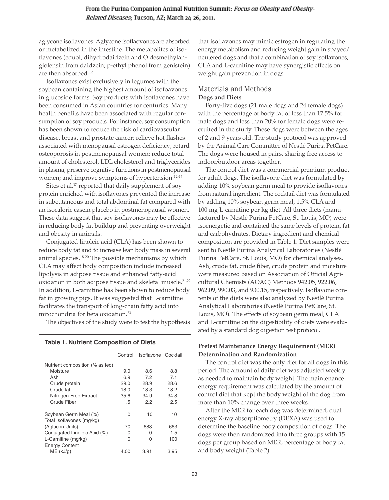aglycone isoflavones. Aglycone isoflaovones are absorbed or metabolized in the intestine. The metabolites of isoflavones (equol, dihydrodaidzein and O desmethylangiolensin from daidzein; p-ethyl phenol from genistein) are then absorbed.12

Isoflavones exist exclusively in legumes with the soybean containing the highest amount of isofoavones in glucoside forms. Soy products with isoflavones have been consumed in Asian countries for centuries. Many health benefits have been associated with regular consumption of soy products. For instance, soy consumption has been shown to reduce the risk of cardiovascular disease, breast and prostate cancer; relieve hot flashes associated with menopausal estrogen deficiency; retard osteoporosis in postmenopausal women; reduce total amount of cholesterol, LDL cholesterol and triglycerides in plasma; preserve cognitive functions in postmenopausal women; and improve symptoms of hypertension.<sup>12-16</sup>

Sites et al.<sup>17</sup> reported that daily supplement of soy protein enriched with isoflavones prevented the increase in subcutaneous and total abdominal fat compared with an isocaloric casein placebo in postmenopausal women. These data suggest that soy isoflavones may be effective in reducing body fat buildup and preventing overweight and obesity in animals.

Conjugated linoleic acid (CLA) has been shown to reduce body fat and to increase lean body mass in several animal species.18-20 The possible mechanisms by which CLA may affect body composition include increased lipolysis in adipose tissue and enhanced fatty-acid oxidation in both adipose tissue and skeletal muscle.<sup>21,22</sup> In addition, L-carnitine has been shown to reduce body fat in growing pigs. It was suggested that L-carnitine facilitates the transport of long-chain fatty acid into mitochondria for beta oxidation.23

The objectives of the study were to test the hypothesis

#### **Table 1. Nutrient Composition of Diets**

|                                                    |                  | Control Isoflavone Cocktail |      |
|----------------------------------------------------|------------------|-----------------------------|------|
| Nutrient composition (% as fed)                    |                  |                             |      |
| Moisture                                           | 9.0              | 8.6                         | 8.8  |
| Ash                                                | 6.9              | 7.2                         | 7.1  |
| Crude protein                                      | 29.0             | 28.9                        | 28.6 |
| Crude fat                                          | 18.0             | 18.3                        | 18.2 |
| Nitrogen-Free Extract                              | 35.6             | 34.9                        | 34.8 |
| Crude Fiber                                        | 1.5              | 2.2                         | 2.5  |
| Soybean Germ Meal (%)<br>Total Isoflavones (mg/kg) | ი                | 10                          | 10   |
| (Aglucon Units)                                    | 70               | 683                         | 663  |
| Conjugated Linoleic Acid (%)                       | $\left( \right)$ | O                           | 1.5  |
| L-Carnitine (mg/kg)<br><b>Energy Content</b>       | O                | O                           | 100  |
| $ME$ (kJ/g)                                        | 4.00             | 3.91                        | 3.95 |

that isoflavones may mimic estrogen in regulating the energy metabolism and reducing weight gain in spayed/ neutered dogs and that a combination of soy isoflavones, CLA and L-carnitine may have synergistic effects on weight gain prevention in dogs.

# Materials and Methods **Dogs and Diets**

Forty-five dogs (21 male dogs and 24 female dogs) with the percentage of body fat of less than 17.5% for male dogs and less than 20% for female dogs were recruited in the study. These dogs were between the ages of 2 and 9 years old. The study protocol was approved by the Animal Care Committee of Nestlé Purina PetCare. The dogs were housed in pairs, sharing free access to indoor/outdoor areas together.

The control diet was a commercial premium product for adult dogs. The isoflavone diet was formulated by adding 10% soybean germ meal to provide isoflavones from natural ingredient. The cocktail diet was formulated by adding 10% soybean germ meal, 1.5% CLA and 100 mg L-carnitine per kg diet. All three diets (manufactured by Nestlé Purina PetCare, St. Louis, MO) were isoenergetic and contained the same levels of protein, fat and carbohydrates. Dietary ingredient and chemical composition are provided in Table 1. Diet samples were sent to Nestlé Purina Analytical Laboratories (Nestlé Purina PetCare, St. Louis, MO) for chemical analyses. Ash, crude fat, crude fiber, crude protein and moisture were measured based on Association of Official Agricultural Chemists (AOAC) Methods 942.05, 922.06, 962.09, 990.03, and 930.15, respectively. Isoflavone contents of the diets were also analyzed by Nestlé Purina Analytical Laboratories (Nestlé Purina PetCare, St. Louis, MO). The effects of soybean germ meal, CLA and L-carnitine on the digestibility of diets were evaluated by a standard dog digestion test protocol.

## **Pretest Maintenance Energy Requirement (MER) Determination and Randomization**

The control diet was the only diet for all dogs in this period. The amount of daily diet was adjusted weekly as needed to maintain body weight. The maintenance energy requirement was calculated by the amount of control diet that kept the body weight of the dog from more than 10% change over three weeks.

After the MER for each dog was determined, dual energy X-ray absorptiometry (DEXA) was used to determine the baseline body composition of dogs. The dogs were then randomized into three groups with 15 dogs per group based on MER, percentage of body fat and body weight (Table 2).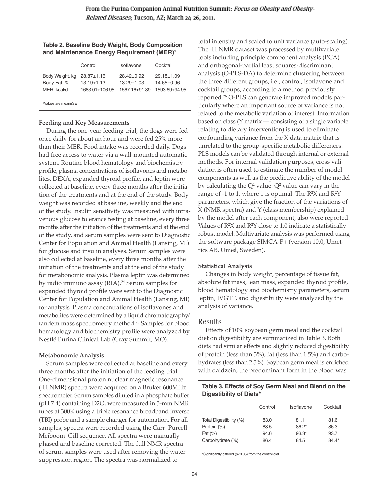# **Table 2. Baseline Body Weight, Body Composition and Maintenance Energy Requirement (MER)1**

|                                               | Control                                              | Isoflavone                                        | Cocktail                                              |
|-----------------------------------------------|------------------------------------------------------|---------------------------------------------------|-------------------------------------------------------|
| Body Weight, kg<br>Body Fat, %<br>MER, kcal/d | $28.87 \pm 1.16$<br>$13.19 + 1.13$<br>1683.01±106.95 | $28.42 + 0.92$<br>$13.29 + 1.03$<br>1567.16+91.39 | $29.18 \pm 1.09$<br>$14.65 \pm 0.96$<br>1593.69±94.95 |
| <sup>1</sup> Values are mean+SE               |                                                      |                                                   |                                                       |

### **Feeding and Key Measurements**

During the one-year feeding trial, the dogs were fed once daily for about an hour and were fed 25% more than their MER. Food intake was recorded daily. Dogs had free access to water via a wall-mounted automatic system. Routine blood hematology and biochemistry profile, plasma concentrations of isoflavones and metabolites, DEXA, expanded thyroid profile, and leptin were collected at baseline, every three months after the initiation of the treatments and at the end of the study. Body weight was recorded at baseline, weekly and the end of the study. Insulin sensitivity was measured with intravenous glucose tolerance testing at baseline, every three months after the initiation of the treatments and at the end of the study, and serum samples were sent to Diagnostic Center for Population and Animal Health (Lansing, MI) for glucose and insulin analyses. Serum samples were also collected at baseline, every three months after the initiation of the treatments and at the end of the study for metabonomic analysis. Plasma leptin was determined by radio immuno assay (RIA).<sup>24</sup> Serum samples for expanded thyroid profile were sent to the Diagnostic Center for Population and Animal Health (Lansing, MI) for analysis. Plasma concentrations of isoflavones and metabolites were determined by a liquid chromatography/ tandem mass spectrometry method.<sup>25</sup> Samples for blood hematology and biochemistry profile were analyzed by Nestlé Purina Clinical Lab (Gray Summit, MO).

#### **Metabonomic Analysis**

Serum samples were collected at baseline and every three months after the initiation of the feeding trial. One-dimensional proton nuclear magnetic resonance (1 H NMR) spectra were acquired on a Bruker 600MHz spectrometer. Serum samples diluted in a phosphate buffer (pH 7.4) containing D2O, were measured in 5-mm NMR tubes at 300K using a triple resonance broadband inverse (TBI) probe and a sample changer for automation. For all samples, spectra were recorded using the Carr–Purcell– Meiboom–Gill sequence. All spectra were manually phased and baseline corrected. The full NMR spectra of serum samples were used after removing the water suppression region. The spectra was normalized to

total intensity and scaled to unit variance (auto-scaling). The <sup>1</sup>H NMR dataset was processed by multivariate tools including principle component analysis (PCA) and orthogonal-partial least squares-discriminant analysis (O-PLS-DA) to determine clustering between the three different groups, i.e., control, isoflavone and cocktail groups, according to a method previously reported.26 O-PLS can generate improved models particularly where an important source of variance is not related to the metabolic variation of interest. Information based on class (Y matrix — consisting of a single variable relating to dietary intervention) is used to eliminate confounding variance from the X data matrix that is unrelated to the group-specific metabolic differences. PLS models can be validated through internal or external methods. For internal validation purposes, cross validation is often used to estimate the number of model components as well as the predictive ability of the model by calculating the  $Q^2$  value.  $Q^2$  value can vary in the range of -1 to 1, where 1 is optimal. The R $2X$  and R $2Y$ parameters, which give the fraction of the variations of X (NMR spectra) and Y (class membership) explained by the model after each component, also were reported. Values of  $R^2X$  and  $R^2Y$  close to 1.0 indicate a statistically robust model. Multivariate analysis was performed using the software package SIMCA-P+ (version 10.0, Umetrics AB, Umeå, Sweden).

## **Statistical Analysis**

Changes in body weight, percentage of tissue fat, absolute fat mass, lean mass, expanded thyroid profile, blood hematology and biochemistry parameters, serum leptin, IVGTT, and digestibility were analyzed by the analysis of variance.

## Results

Effects of 10% soybean germ meal and the cocktail diet on digestibility are summarized in Table 3. Both diets had similar effects and slightly reduced digestibility of protein (less than 3%), fat (less than 1.5%) and carbohydrates (less than 2.5%). Soybean germ meal is enriched with daidzein, the predominant form in the blood was

# **Table 3. Effects of Soy Germ Meal and Blend on the Digestibility of Diets\***

|                         | Control | Isoflavone | Cocktail |
|-------------------------|---------|------------|----------|
| Total Digestibility (%) | 83.0    | 81.1       | 81.6     |
| Protein (%)             | 88.5    | $86.2*$    | 86.3     |
| Fat $(\%)$              | 94.6    | $93.3*$    | 93.7     |
| Carbohydrate (%)        | 86.4    | 84.5       | 84.4*    |

\*Significantly differed (p<0.05) from the control diet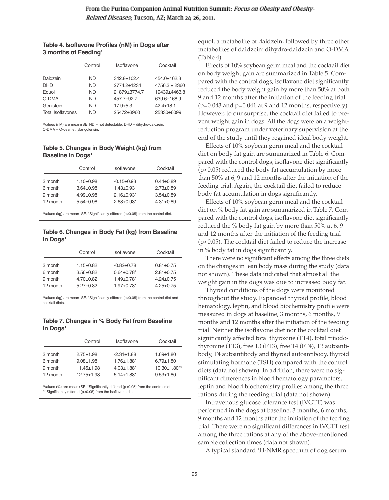# **Table 4. Isoflavone Profiles (nM) in Dogs after 3 months of Feeding1**

|                          | Control | Isoflavone        | Cocktail          |
|--------------------------|---------|-------------------|-------------------|
| Daidzein                 | ND.     | $342.8 \pm 102.4$ | $454.0 \pm 162.3$ |
| DHD                      | ND.     | 2774.2+1234       | $4756.3 \pm 2360$ |
| Equol                    | ND.     | 21879±3774.7      | 19439±4463.8      |
| O-DMA                    | ND.     | 457.7±92.7        | 639.6±168.9       |
| Genistein                | ND.     | $17.9 + 5.3$      | $42.4 + 18.1$     |
| <b>Total Isoflavones</b> | ND.     | 25472+3960        | 25330±6099        |

1Values (nM) are mean±SE. ND = not detectable, DHD = dihydro-daidzein, O-DMA = O-desmethylangolensin.

### **Table 5. Changes in Body Weight (kg) from Baseline in Dogs1**

|          | Control         | Isoflavone                   | Cocktail        |
|----------|-----------------|------------------------------|-----------------|
| 3 month  | $1.10 \pm 0.98$ | $-0.15 \pm 0.93$             | $0.44 \pm 0.89$ |
| 6 month  | $3.64 \pm 0.98$ | $1.43 \pm 0.93$              | $2.73 \pm 0.89$ |
| 9 month  | $4.99 \pm 0.98$ | $2.16 \pm 0.93$ <sup>*</sup> | $3.54 \pm 0.89$ |
| 12 month | $5.54 \pm 0.98$ | $2.68 \pm 0.93$ <sup>*</sup> | $4.31 \pm 0.89$ |

1Values (kg) are mean±SE. \*Significantly differed (p<0.05) from the control diet.

#### **Table 6. Changes in Body Fat (kg) from Baseline in Dogs1**

|          | Control         | Isoflavone                   | Cocktail        |
|----------|-----------------|------------------------------|-----------------|
| 3 month  | $1.15 \pm 0.82$ | $-0.82 \pm 0.78$             | $0.81 \pm 0.75$ |
| 6 month  | $3.56 \pm 0.82$ | $0.64 \pm 0.78$ *            | $2.81 \pm 0.75$ |
| 9 month  | $4.70 \pm 0.82$ | $1.49 \pm 0.78$ <sup>*</sup> | $4.24 \pm 0.75$ |
| 12 month | $5.27 \pm 0.82$ | $1.97 \pm 0.78$ *            | $4.25 \pm 0.75$ |

1Values (kg) are mean±SE. \*Significantly differed (p<0.05) from the control diet and cocktail diets.

#### **Table 7. Changes in % Body Fat from Baseline in Dogs1**

|          | Control          | Isoflavone                   | Cocktail        |
|----------|------------------|------------------------------|-----------------|
| 3 month  | $2.75 \pm 1.98$  | $-2.31 \pm 1.88$             | $1.69 + 1.80$   |
| 6 month  | $9.08 + 1.98$    | $1.76 \pm 1.88$ <sup>*</sup> | $6.79 \pm 1.80$ |
| 9 month  | $11.45 \pm 1.98$ | $4.03 \pm 1.88$ <sup>*</sup> | 10.30±1.80**    |
| 12 month | $12.75 \pm 1.98$ | $5.14 \pm 1.88$ <sup>*</sup> | $9.53 \pm 1.80$ |

1Values (%) are mean±SE. \*Significantly differed (p<0.05) from the control diet \*\* Significantly differed (p<0.05) from the isoflavone diet.

equol, a metabolite of daidzein, followed by three other metabolites of daidzein: dihydro-daidzein and O-DMA (Table 4).

Effects of 10% soybean germ meal and the cocktail diet on body weight gain are summarized in Table 5. Compared with the control dogs, isoflavone diet significantly reduced the body weight gain by more than 50% at both 9 and 12 months after the initiation of the feeding trial  $(p=0.043$  and  $p=0.041$  at 9 and 12 months, respectively). However, to our surprise, the cocktail diet failed to prevent weight gain in dogs. All the dogs were on a weightreduction program under veterinary supervision at the end of the study until they regained ideal body weight.

Effects of 10% soybean germ meal and the cocktail diet on body fat gain are summarized in Table 6. Compared with the control dogs, isoflavone diet significantly (p<0.05) reduced the body fat accumulation by more than 50% at 6, 9 and 12 months after the initiation of the feeding trial. Again, the cocktail diet failed to reduce body fat accumulation in dogs significantly.

Effects of 10% soybean germ meal and the cocktail diet on % body fat gain are summarized in Table 7. Com pared with the control dogs, isoflavone diet significantly reduced the % body fat gain by more than 50% at 6, 9 and 12 months after the initiation of the feeding trial (p<0.05). The cocktail diet failed to reduce the increase in % body fat in dogs significantly.

There were no significant effects among the three diets on the changes in lean body mass during the study (data not shown). These data indicated that almost all the weight gain in the dogs was due to increased body fat.

Thyroid conditions of the dogs were monitored throughout the study. Expanded thyroid profile, blood hematology, leptin, and blood biochemistry profile were measured in dogs at baseline, 3 months, 6 months, 9 months and 12 months after the initiation of the feeding trial. Neither the isoflavone diet nor the cocktail diet significantly affected total thyroxine (TT4), total triiodothy ronine (TT3), free T3 (FT3), free T4 (FT4), T3 autoantibody, T4 autoantibody and thyroid autoantibody, thyroid stimulating hormone (TSH) compared with the control diets (data not shown). In addition, there were no significant differences in blood hematology parameters, leptin and blood biochemistry profiles among the three rations during the feeding trial (data not shown).

Intravenous glucose tolerance test (IVGTT) was performed in the dogs at baseline, 3 months, 6 months, 9 months and 12 months after the initiation of the feeding trial. There were no significant differences in IVGTT test among the three rations at any of the above-mentioned sample collection times (data not shown).

A typical standard 1 H-NMR spectrum of dog serum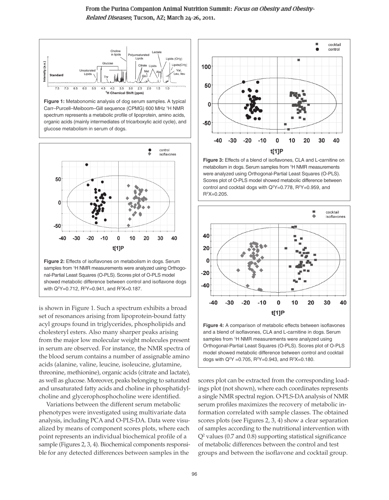

**Figure 1:** Metabonomic analysis of dog serum samples. A typical Carr–Purcell–Meiboom–Gill sequence (CPMG) 600 MHz 1 H NMR spectrum represents a metabolic profile of lipoprotein, amino acids, organic acids (mainly intermediates of tricarboxylic acid cycle), and glucose metabolism in serum of dogs.



is shown in Figure 1. Such a spectrum exhibits a broad set of resonances arising from lipoprotein-bound fatty acyl groups found in triglycerides, phospholipids and cholesteryl esters. Also many sharper peaks arising from the major low molecular weight molecules present in serum are observed. For instance, the NMR spectra of the blood serum contains a number of assignable amino acids (alanine, valine, leucine, isoleucine, glutamine, threonine, methionine), organic acids (citrate and lactate), as well as glucose. Moreover, peaks belonging to saturated and unsaturated fatty acids and choline in phosphatidylcholine and glycerophosphocholine were identified.

Variations between the different serum metabolic phenotypes were investigated using multivariate data analysis, including PCA and O-PLS-DA. Data were visualized by means of component scores plots, where each point represents an individual biochemical profile of a sample (Figures 2, 3, 4). Biochemical components responsible for any detected differences between samples in the



**Figure 3:** Effects of a blend of isoflavones, CLA and L-carnitine on metabolism in dogs. Serum samples from 1 H NMR measurements were analyzed using Orthogonal-Partial Least Squares (O-PLS). Scores plot of O-PLS model showed metabolic difference between control and cocktail dogs with  $Q^2Y=0.778$ ,  $R^2Y=0.959$ , and  $R^2X=0.205$ .



and a blend of isoflavones, CLA and L-carnitine in dogs. Serum samples from 1H NMR measurements were analyzed using Orthogonal-Partial Least Squares (O-PLS). Scores plot of O-PLS model showed metabolic difference between control and cocktail dogs with  $Q^2Y = 0.705$ ,  $R^2Y = 0.943$ , and  $R^2X = 0.180$ .

scores plot can be extracted from the corresponding loadings plot (not shown), where each coordinates represents a single NMR spectral region. O-PLS-DA analysis of NMR serum profiles maximizes the recovery of metabolic information correlated with sample classes. The obtained scores plots (see Figures 2, 3, 4) show a clear separation of samples according to the nutritional intervention with  $Q<sup>2</sup>$  values (0.7 and 0.8) supporting statistical significance of metabolic differences between the control and test groups and between the isoflavone and cocktail group.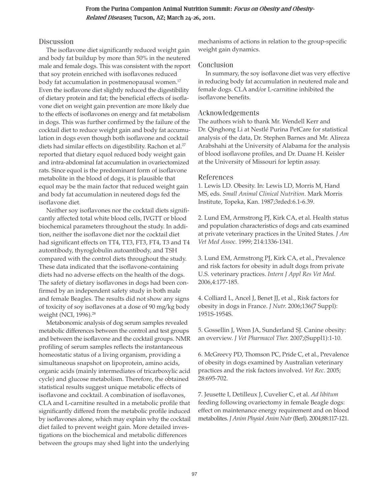# Discussion

The isoflavone diet significantly reduced weight gain and body fat buildup by more than 50% in the neutered male and female dogs. This was consistent with the report that soy protein enriched with isoflavones reduced body fat accumulation in postmenopausal women.<sup>17</sup> Even the isoflavone diet slightly reduced the digestibility of dietary protein and fat; the beneficial effects of isofla vone diet on weight gain prevention are more likely due to the effects of isoflavones on energy and fat metabolism in dogs. This was further confirmed by the failure of the cocktail diet to reduce weight gain and body fat accumulation in dogs even though both isoflavone and cocktail diets had similar effects on digestibility. Rachon et al.<sup>27</sup> reported that dietary equol reduced body weight gain and intra-abdominal fat accumulation in ovariectomized rats. Since equol is the predominant form of isoflavone metabolite in the blood of dogs, it is plausible that equol may be the main factor that reduced weight gain and body fat accumulation in neutered dogs fed the isoflavone diet.

Neither soy isoflavones nor the cocktail diets significantly affected total white blood cells, IVGTT or blood biochemical parameters throughout the study. In addition, neither the isoflavone diet nor the cocktail diet had significant effects on TT4, TT3, FT3, FT4, T3 and T4 autontibody, thyroglobulin autoantibody, and TSH compared with the control diets throughout the study. These data indicated that the isoflavone-containing diets had no adverse effects on the health of the dogs. The safety of dietary isoflavones in dogs had been confirmed by an independent safety study in both male and female Beagles. The results did not show any signs of toxicity of soy isoflavones at a dose of 90 mg/kg body weight (NCI, 1996).<sup>28</sup>

Metabonomic analysis of dog serum samples revealed metabolic differences between the control and test groups and between the isoflavone and the cocktail groups. NMR profiling of serum samples reflects the instantaneous homeostatic status of a living organism, providing a simultaneous snapshot on lipoprotein, amino acids, organic acids (mainly intermediates of tricarboxylic acid cycle) and glucose metabolism. Therefore, the obtained statistical results suggest unique metabolic effects of isoflavone and cocktail. A combination of isoflavones, CLA and L-carnitine resulted in a metabolic profile that significantly differed from the metabolic profile induced by isoflavones alone, which may explain why the cocktail diet failed to prevent weight gain. More detailed investigations on the biochemical and metabolic differences between the groups may shed light into the underlying

mechanisms of actions in relation to the group-specific weight gain dynamics.

# Conclusion

In summary, the soy isoflavone diet was very effective in reducing body fat accumulation in neutered male and female dogs. CLA and/or L-carnitine inhibited the isoflavone benefits.

# Acknowledgements

The authors wish to thank Mr. Wendell Kerr and Dr. Qinghong Li at Nestlé Purina PetCare for statistical analysis of the data, Dr. Stephen Barnes and Mr. Alireza Arabshahi at the University of Alabama for the analysis of blood isoflavone profiles, and Dr. Duane H. Keisler at the University of Missouri for leptin assay.

# References

1. Lewis LD. Obesity. In: Lewis LD, Morris M, Hand MS, eds. *Small Animal Clinical Nutrition.* Mark Morris Institute, Topeka, Kan. 1987;3rded:6.1-6.39.

2. Lund EM, Armstrong PJ, Kirk CA, et al. Health status and population characteristics of dogs and cats examined at private veterinary practices in the United States. *J Am Vet Med Assoc.* 1999; 214:1336-1341.

3. Lund EM, Armstrong PJ, Kirk CA, et al., Prevalence and risk factors for obesity in adult dogs from private U.S. veterinary practices. *Intern J Appl Res Vet Med.* 2006,4:177-185.

4. Colliard L, Ancel J, Benet JJ, et al., Risk factors for obesity in dogs in France. *J Nutr.* 2006;136(7 Suppl): 1951S-1954S.

5. Gossellin J, Wren JA, Sunderland SJ. Canine obesity: an overview. *J Vet Pharmacol Ther.* 2007;(Suppl1):1-10.

6. McGreevy PD, Thomson PC, Pride C, et al., Prevalence of obesity in dogs examined by Australian veterinary practices and the risk factors involved. *Vet Rec.* 2005; 28:695-702.

7. Jeusette I, Detilleux J, Cuvelier C, et al. *Ad libitum* feeding following ovariectomy in female Beagle dogs: effect on maintenance energy requirement and on blood metabolites. *J Anim Physiol Anim Nutr* (Berl). 2004;88:117-121.